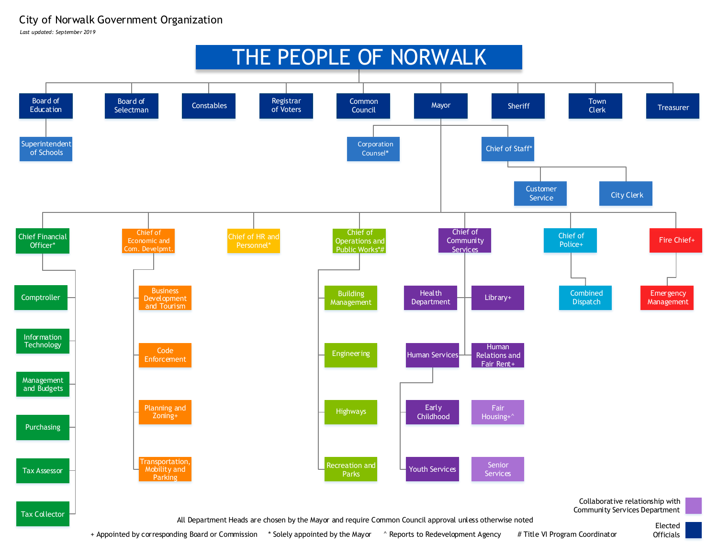## City of Norwalk Government Organization

*Last updated: September 2019*



+ Appointed by corresponding Board or Commission \* Solely appointed by the Mayor ^ Reports to Redevelopment Agency

# Title VI Program Coordinator